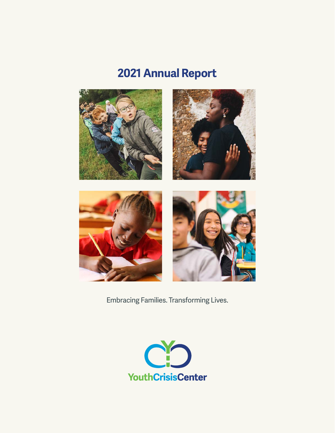# **2021 Annual Report**



Embracing Families. Transforming Lives.

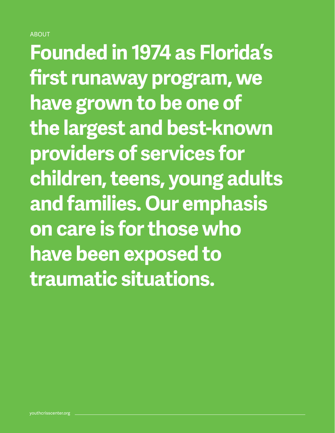#### **ABOUT**

**Founded in 1974 as Florida's first runaway program, we have grown to be one of the largest and best-known providers of services for children, teens, young adults and families. Our emphasis on care is for those who have been exposed to traumatic situations.**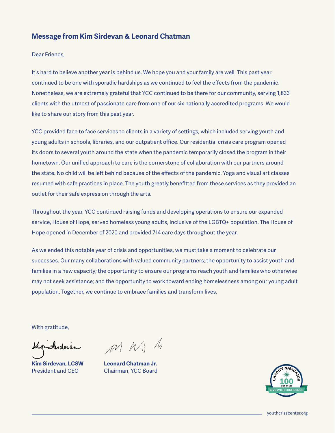#### **Message from Kim Sirdevan & Leonard Chatman**

Dear Friends,

It's hard to believe another year is behind us. We hope you and your family are well. This past year continued to be one with sporadic hardships as we continued to feel the effects from the pandemic. Nonetheless, we are extremely grateful that YCC continued to be there for our community, serving 1,833 clients with the utmost of passionate care from one of our six nationally accredited programs. We would like to share our story from this past year.

YCC provided face to face services to clients in a variety of settings, which included serving youth and young adults in schools, libraries, and our outpatient office. Our residential crisis care program opened its doors to several youth around the state when the pandemic temporarily closed the program in their hometown. Our unified approach to care is the cornerstone of collaboration with our partners around the state. No child will be left behind because of the effects of the pandemic. Yoga and visual art classes resumed with safe practices in place. The youth greatly benefitted from these services as they provided an outlet for their safe expression through the arts.

Throughout the year, YCC continued raising funds and developing operations to ensure our expanded service, House of Hope, served homeless young adults, inclusive of the LGBTQ+ population. The House of Hope opened in December of 2020 and provided 714 care days throughout the year.

As we ended this notable year of crisis and opportunities, we must take a moment to celebrate our successes. Our many collaborations with valued community partners; the opportunity to assist youth and families in a new capacity; the opportunity to ensure our programs reach youth and families who otherwise may not seek assistance; and the opportunity to work toward ending homelessness among our young adult population. Together, we continue to embrace families and transform lives.

With gratitude,

Indevan

**Kim Sirdevan, LCSW** President and CEO

MM M

**Leonard Chatman Jr.** Chairman, YCC Board



youthcrisscenter.org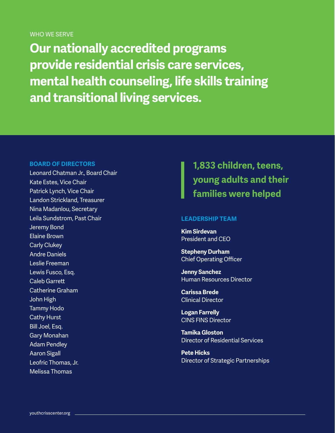WHO WE SERVE

**Our nationally accredited programs provide residential crisis care services, mental health counseling, life skills training and transitional living services.**

#### **BOARD OF DIRECTORS**

Leonard Chatman Jr., Board Chair Kate Estes, Vice Chair Patrick Lynch, Vice Chair Landon Strickland, Treasurer Nina Madanlou, Secretary Leila Sundstrom, Past Chair Jeremy Bond Elaine Brown Carly Clukey Andre Daniels Leslie Freeman Lewis Fusco, Esq. Caleb Garrett Catherine Graham John High Tammy Hodo Cathy Hurst Bill Joel, Esq. Gary Monahan Adam Pendley Aaron Sigall Leofric Thomas, Jr. Melissa Thomas

**1,833 children, teens, young adults and their families were helped**

#### **LEADERSHIP TEAM**

**Kim Sirdevan**  President and CEO

**Stepheny Durham** Chief Operating Officer

**Jenny Sanchez** Human Resources Director

**Carissa Brede** Clinical Director

**Logan Farrelly**  CINS FINS Director

**Tamika Gloston** Director of Residential Services

**Pete Hicks** Director of Strategic Partnerships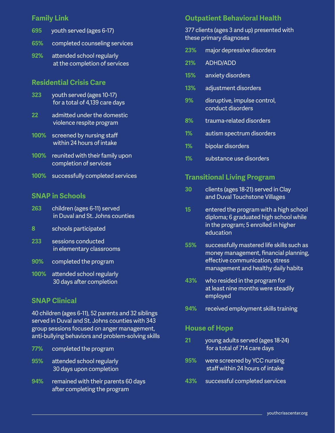| 695 | youth served (ages 6-17)                                   |
|-----|------------------------------------------------------------|
| 65% | completed counseling services                              |
| 92% | attended school regularly<br>at the completion of services |

# **Residential Crisis Care**

- **323** youth served (ages 10-17) for a total of 4,139 care days
- **22** admitted under the domestic violence respite program
- **100%** screened by nursing staff within 24 hours of intake
- **100%** reunited with their family upon completion of services
- **100%** successfully completed services

## **SNAP in Schools**

- **263** children (ages 6-11) served in Duval and St. Johns counties
- **8** schools participated
- **233** sessions conducted in elementary classrooms
- **90%** completed the program
- **100%** attended school regularly 30 days after completion

## **SNAP Clinical**

**94%** received employment skills training 40 children (ages 6-11), 52 parents and 32 siblings served in Duval and St. Johns counties with 343 group sessions focused on anger management, anti-bullying behaviors and problem-solving skills

- **77%** completed the program
- **95%** attended school regularly 30 days upon completion
- **94%** remained with their parents 60 days after completing the program

## **Family Link Outpatient Behavioral Health**

#### 377 clients (ages 3 and up) presented with these primary diagnoses

- **23%** major depressive disorders
- **21%** ADHD/ADD
- **15%** anxiety disorders
- **13%** adjustment disorders
- **9%** disruptive, impulse control, conduct disorders
- **8%** trauma-related disorders
- **1%** autism spectrum disorders
- **1%** bipolar disorders
- **1%** substance use disorders

# **Transitional Living Program**

- **30** clients (ages 18-21) served in Clay and Duval Touchstone Villages
- **15** entered the program with a high school diploma; 6 graduated high school while in the program; 5 enrolled in higher education
- **55%** successfully mastered life skills such as money management, financial planning, effective communication, stress management and healthy daily habits
- **43%** who resided in the program for at least nine months were steadily employed
- 

#### **House of Hope**

- **21** young adults served (ages 18-24) for a total of 714 care days
- **95%** were screened by YCC nursing staff within 24 hours of intake
- **43%** successful completed services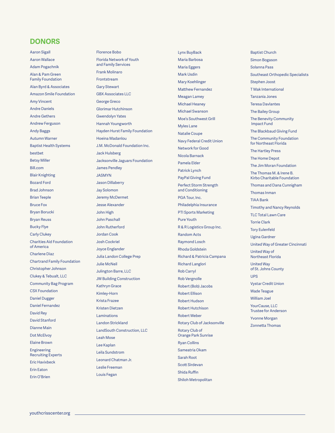#### **DONORS**

Aaron Sigall Aaron Wallace Adam Pogachnik Alan & Pam Green Family Foundation Alan Byrd & Associates Amazon Smile Foundation Amy Vincent Andre Daniels Andre Gethers Andrew Ferguson Andy Baggs Autumn Warner Baptist Health Systems bestbet Betsy Miller Bill.com Blair Knighting Bozard Ford Brad Johnson Brian Teeple Bruce Fox Bryan Borucki Bryan Reuss Bucky Flye Carly Clukey Charities Aid Foundation of America Charlene Diaz Chartrand Family Foundation Christopher Johnson Clukey & Tebualt, LLC Community Bag Program CSX Foundation Daniel Dugger Daniel Fernandez David Rey David Stanford Dianne Main Dot McElvov Elaine Brown Engineering Recruiting Experts Eric Havixbeck Erin Eaton Erin O'Brien

Florence Bobo Florida Network of Youth and Family Services Frank Molinaro Frontstream Gary Stewart GBX Associates LLC George Greco Glorimar Hutchinson Gwendolyn Yates Hannah Youngworth Hayden Hurst Family Foundation Hoeina Madanlou J.M. McDonald Foundation Inc. Jack Hulsberg Jacksonville Jaguars Foundation James Pendley JASMYN Jason Dillaberry Jay Solomon Jeremy McDermet Jesse Alexander John High John Paschall John Rutherford Jordan Cook Josh Cockriel Joyce Englander Julia Landon College Prep Julie McNeil Julington Barre, LLC JW Building Construction Kathryn Grace Kimley-Horn Krista Frazee Kristen Dietzen Laminations Landon Strickland LandSouth Construction, LLC Leah Mose Lee Kaplan Leila Sundstrom Leonard Chatman Jr. Leslie Freeman Louis Fegan

Lynx BuyBack Maria Barbosa Maria Eggers Mark Usdin Mary Koehlinger Matthew Fernandez Meagan Lamey Michael Heaney Michael Swanson Moe's Southwest Grill Myles Lane Natalie Coupe Navy Federal Credit Union Network for Good Nicola Barnack Pamela Elder Patrick Lynch PayPal Giving Fund Perfect Storm Strength and Conditioning PGA Tour, Inc. Philadelphia Insurance PTI Sports Marketing Pure Youth R & R Logistics Group Inc. Random Acts Raymond Losch Rhoda Goldstein Richard & Patricia Campana Richard Langlori Rob Carryl Rob Vergnolle Robert (Bob) Jacobs Robert Ellison Robert Hudson Robert Hutchison Robert Weber Rotary Club of Jacksonville Rotary Club of Orange Park Sunrise Ryan Collins Sameatria Okam Sarah Root Scott Sirdevan Shida Ruffin Shiloh Metropolitan

Baptist Church Simon Bogason Solanna Pass Southeast Orthopedic Specialists Stephen Joost T Mak International Tanzania Jones Teresa Davlantes The Bailey Group The Benevity Community Impact Fund The Blackbaud Giving Fund The Community Foundation for Northeast Florida The Hartley Press The Home Depot The Jim Moran Foundation The Thomas M. & Irene B. Kirbo Charitable Foundation Thomas and Dana Cunnigham Thomas Inman TIAA Bank Timothy and Nancy Reynolds TLC Total Lawn Care Torrie Clark Tory Eulenfeld Ugina Gardner United Way of Greater Cincinnati United Way of Northeast Florida United Way of St. Johns County UPS Vystar Credit Union Wade Teague William Joel YourCause, LLC Trustee for Anderson Yvonne Morgan Zonnetta Thomas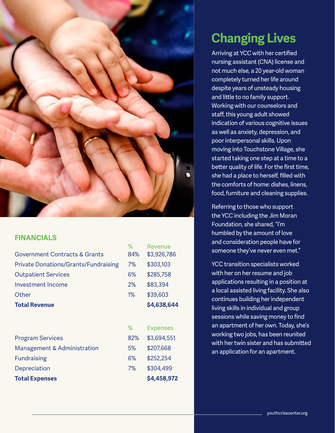

## **FINANCIALS**

|                                             | %   | Revenue         |
|---------------------------------------------|-----|-----------------|
| <b>Government Contracts &amp; Grants</b>    | 84% | \$3,926,786     |
| <b>Private Donations/Grants/Fundraising</b> | 7%  | \$303,103       |
| <b>Outpatient Services</b>                  | 6%  | \$285,758       |
| Investment Income                           | 2%  | \$83,394        |
| Other                                       | 1%  | \$39,603        |
| <b>Total Revenue</b>                        |     | \$4,638,644     |
|                                             |     |                 |
|                                             | %   | <b>Expenses</b> |
| <b>Program Services</b>                     | 82% | \$3,694,551     |
| <b>Management &amp; Administration</b>      | 5%  | \$207,668       |
| <b>Fundraising</b>                          | 6%  | \$252,254       |
| Depreciation                                | 7%  | \$304,499       |
| <b>Total Expenses</b>                       |     | \$4,458,972     |
|                                             |     |                 |

# **Changing Lives**

Arriving at YCC with her certified nursing assistant (CNA) license and not much else, a 20 year-old woman completely turned her life around despite years of unsteady housing and little to no family support. Working with our counselors and staff, this young adult showed indication of various cognitive issues as well as anxiety, depression, and poor interpersonal skills. Upon moving into Touchstone Village, she started taking one step at a time to a better quality of life. For the first time, she had a place to herself, filled with the comforts of home: dishes, linens, food, furniture and cleaning supplies.

Referring to those who support the YCC including the Jim Moran Foundation, she shared, "I'm humbled by the amount of love and consideration people have for someone they've never even met."

YCC transition specialists worked with her on her resume and job applications resulting in a position at a local assisted living facility. She also continues building her independent living skills in individual and group sessions while saving money to find an apartment of her own. Today, she's working two jobs, has been reunited with her twin sister and has submitted an application for an apartment.